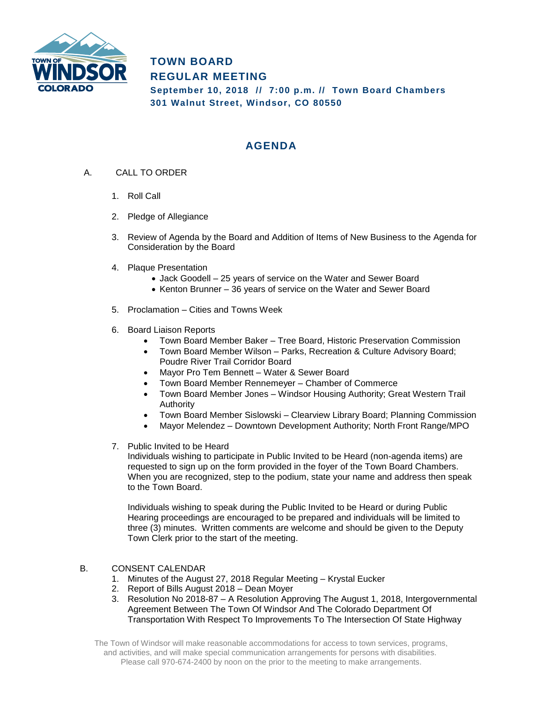

## **TOWN BOARD REGULAR MEETING September 10, 2018 // 7:00 p.m. // Town Board Chambers 301 Walnut Street, Windsor, CO 80550**

## **AGENDA**

- A. CALL TO ORDER
	- 1. Roll Call
	- 2. Pledge of Allegiance
	- 3. Review of Agenda by the Board and Addition of Items of New Business to the Agenda for Consideration by the Board
	- 4. Plaque Presentation
		- Jack Goodell 25 years of service on the Water and Sewer Board
		- Kenton Brunner 36 years of service on the Water and Sewer Board
	- 5. Proclamation Cities and Towns Week
	- 6. Board Liaison Reports
		- Town Board Member Baker Tree Board, Historic Preservation Commission
		- Town Board Member Wilson Parks, Recreation & Culture Advisory Board; Poudre River Trail Corridor Board
		- Mayor Pro Tem Bennett Water & Sewer Board
		- Town Board Member Rennemeyer Chamber of Commerce
		- Town Board Member Jones Windsor Housing Authority; Great Western Trail Authority
		- Town Board Member Sislowski Clearview Library Board; Planning Commission
		- Mayor Melendez Downtown Development Authority; North Front Range/MPO
	- 7. Public Invited to be Heard

Individuals wishing to participate in Public Invited to be Heard (non-agenda items) are requested to sign up on the form provided in the foyer of the Town Board Chambers. When you are recognized, step to the podium, state your name and address then speak to the Town Board.

Individuals wishing to speak during the Public Invited to be Heard or during Public Hearing proceedings are encouraged to be prepared and individuals will be limited to three (3) minutes. Written comments are welcome and should be given to the Deputy Town Clerk prior to the start of the meeting.

## B. CONSENT CALENDAR

- 1. Minutes of the August 27, 2018 Regular Meeting Krystal Eucker
- 2. Report of Bills August 2018 Dean Moyer
- 3. Resolution No 2018-87 A Resolution Approving The August 1, 2018, Intergovernmental Agreement Between The Town Of Windsor And The Colorado Department Of Transportation With Respect To Improvements To The Intersection Of State Highway

The Town of Windsor will make reasonable accommodations for access to town services, programs, and activities, and will make special communication arrangements for persons with disabilities. Please call 970-674-2400 by noon on the prior to the meeting to make arrangements.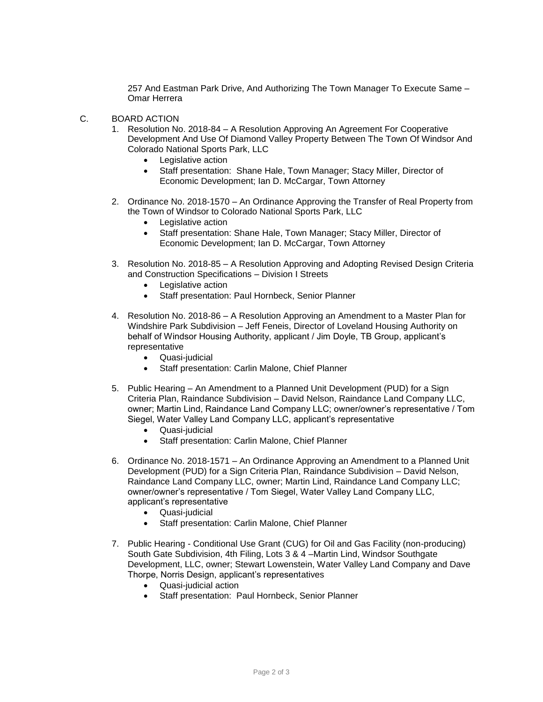257 And Eastman Park Drive, And Authorizing The Town Manager To Execute Same – Omar Herrera

- C. BOARD ACTION
	- 1. Resolution No. 2018-84 A Resolution Approving An Agreement For Cooperative Development And Use Of Diamond Valley Property Between The Town Of Windsor And Colorado National Sports Park, LLC
		- Legislative action
		- Staff presentation: Shane Hale, Town Manager; Stacy Miller, Director of Economic Development; Ian D. McCargar, Town Attorney
	- 2. Ordinance No. 2018-1570 An Ordinance Approving the Transfer of Real Property from the Town of Windsor to Colorado National Sports Park, LLC
		- Legislative action
		- Staff presentation: Shane Hale, Town Manager; Stacy Miller, Director of Economic Development; Ian D. McCargar, Town Attorney
	- 3. Resolution No. 2018-85 A Resolution Approving and Adopting Revised Design Criteria and Construction Specifications – Division I Streets
		- Legislative action
		- Staff presentation: Paul Hornbeck, Senior Planner
	- 4. Resolution No. 2018-86 A Resolution Approving an Amendment to a Master Plan for Windshire Park Subdivision – Jeff Feneis, Director of Loveland Housing Authority on behalf of Windsor Housing Authority, applicant / Jim Doyle, TB Group, applicant's representative
		- Quasi-judicial
		- Staff presentation: Carlin Malone, Chief Planner
	- 5. Public Hearing An Amendment to a Planned Unit Development (PUD) for a Sign Criteria Plan, Raindance Subdivision – David Nelson, Raindance Land Company LLC, owner; Martin Lind, Raindance Land Company LLC; owner/owner's representative / Tom Siegel, Water Valley Land Company LLC, applicant's representative
		- Quasi-judicial
		- Staff presentation: Carlin Malone, Chief Planner
	- 6. Ordinance No. 2018-1571 An Ordinance Approving an Amendment to a Planned Unit Development (PUD) for a Sign Criteria Plan, Raindance Subdivision – David Nelson, Raindance Land Company LLC, owner; Martin Lind, Raindance Land Company LLC; owner/owner's representative / Tom Siegel, Water Valley Land Company LLC, applicant's representative
		- Quasi-judicial
		- Staff presentation: Carlin Malone, Chief Planner
	- 7. Public Hearing Conditional Use Grant (CUG) for Oil and Gas Facility (non-producing) South Gate Subdivision, 4th Filing, Lots 3 & 4 –Martin Lind, Windsor Southgate Development, LLC, owner; Stewart Lowenstein, Water Valley Land Company and Dave Thorpe, Norris Design, applicant's representatives
		- Quasi-judicial action
		- Staff presentation: Paul Hornbeck, Senior Planner